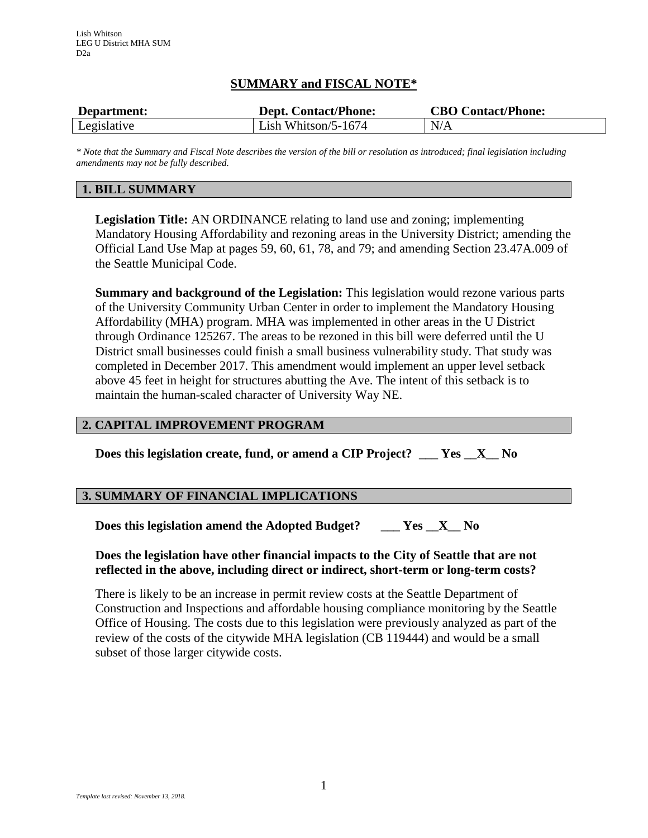# **SUMMARY and FISCAL NOTE\***

| Department: | <b>Dept. Contact/Phone:</b> | <b>CBO Contact/Phone:</b> |
|-------------|-----------------------------|---------------------------|
| Legislative | Lish Whitson/5-1674         | N/A                       |

*\* Note that the Summary and Fiscal Note describes the version of the bill or resolution as introduced; final legislation including amendments may not be fully described.*

# **1. BILL SUMMARY**

**Legislation Title:** AN ORDINANCE relating to land use and zoning; implementing Mandatory Housing Affordability and rezoning areas in the University District; amending the Official Land Use Map at pages 59, 60, 61, 78, and 79; and amending Section 23.47A.009 of the Seattle Municipal Code.

**Summary and background of the Legislation:** This legislation would rezone various parts of the University Community Urban Center in order to implement the Mandatory Housing Affordability (MHA) program. MHA was implemented in other areas in the U District through Ordinance 125267. The areas to be rezoned in this bill were deferred until the U District small businesses could finish a small business vulnerability study. That study was completed in December 2017. This amendment would implement an upper level setback above 45 feet in height for structures abutting the Ave. The intent of this setback is to maintain the human-scaled character of University Way NE.

### **2. CAPITAL IMPROVEMENT PROGRAM**

**Does this legislation create, fund, or amend a CIP Project? \_\_\_ Yes \_\_X\_\_ No**

### **3. SUMMARY OF FINANCIAL IMPLICATIONS**

**Does this legislation amend the Adopted Budget? \_\_\_ Yes \_\_X\_\_ No**

### **Does the legislation have other financial impacts to the City of Seattle that are not reflected in the above, including direct or indirect, short-term or long-term costs?**

There is likely to be an increase in permit review costs at the Seattle Department of Construction and Inspections and affordable housing compliance monitoring by the Seattle Office of Housing. The costs due to this legislation were previously analyzed as part of the review of the costs of the citywide MHA legislation (CB 119444) and would be a small subset of those larger citywide costs.